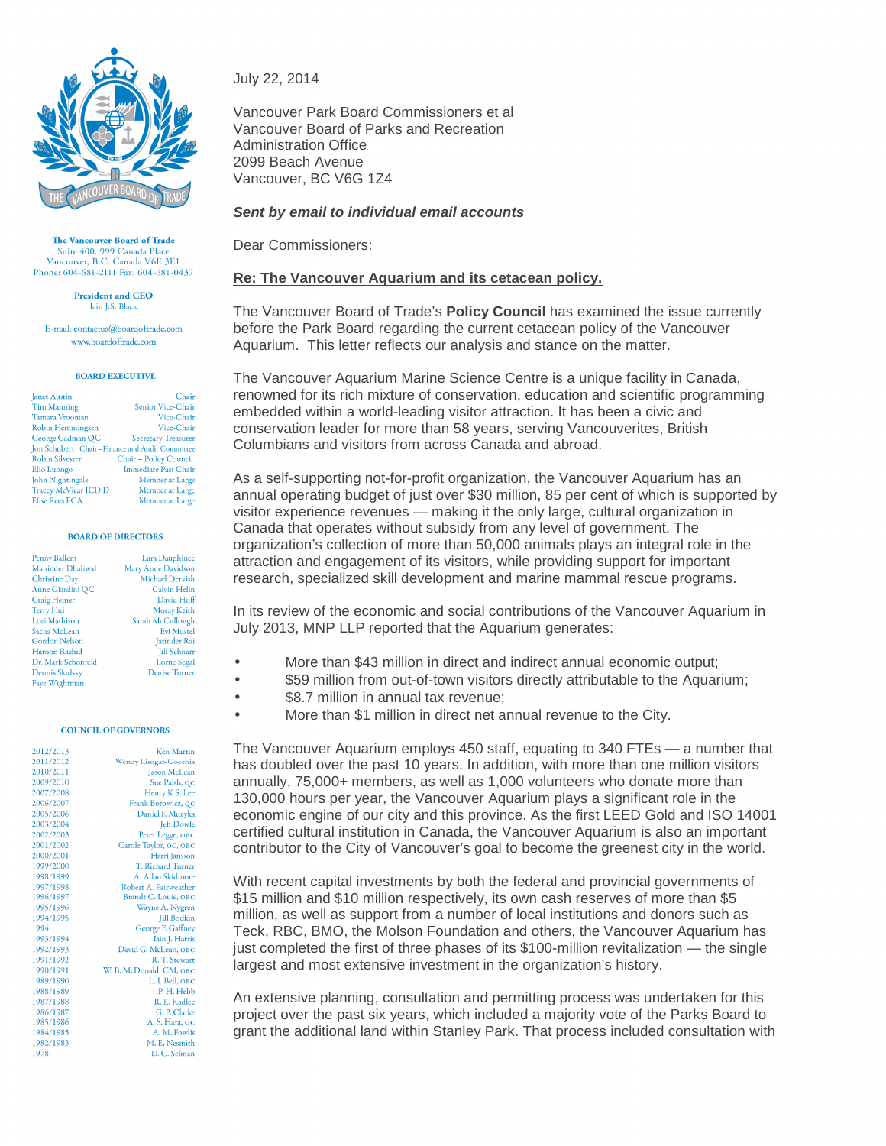

The Vancouver Board of Trade Suite 400, 999 Canada Plac Vancouver, B.C. Canada V6E 3E1 Phone: 604-681-2111 Fax: 604-681-0437

> President and CEO Iain J.S. Black

E-mail: contactus@boardoftrade.com www.boardoftrade.com

## **BOARD EXECUTIVE**

**Janet Austin** Chair Senior Vice-Chair **Tim Manning** Tamara Vrooman Vice-Chair Robin Hemmingsen Vice-Chair George Cadman QC Secretary-Treasurer Jon Schubert Chair-Finance and Audit Committee Robin Silvester Chair - Policy Council Elio Luongo Immediate Past Chair Member at Large John Nightingale Tracey McVicar ICD D Member at Large Member at Large Elise Rees FCA

### **BOARD OF DIRECTORS**

| Penny Ballem             | Lara Dauphinee         |
|--------------------------|------------------------|
| <b>Maninder Dhaliwal</b> | Mary Anne Davidson     |
| <b>Christine Day</b>     | <b>Michael Dervish</b> |
| Anne Giardini QC         | <b>Calvin Helin</b>    |
| <b>Craig Hemer</b>       | David Hoff             |
| Terry Hui                | Moray Keith            |
| Lori Mathison            | Sarah McCullough       |
| Sacha McLean             | <b>Evi Mustel</b>      |
| <b>Gordon Nelson</b>     | Jatinder Rai           |
| <b>Haroon Rashid</b>     | <b>Jill Schnarr</b>    |
| Dr. Mark Schonfeld       | <b>Lorne Segal</b>     |
| Dennis Skulsky           | <b>Denise Turner</b>   |
| Faye Wightman            |                        |

#### **COUNCIL OF GOVERNORS**

 $\overline{2}$  $\overline{2}$  $\overline{2}$ 

| 012/2013 | <b>Ken Martin</b>        |
|----------|--------------------------|
| 011/2012 | Wendy Lisogar-Cocchia    |
| 010/2011 | Jason McLean             |
| 009/2010 | Sue Paish, QC            |
| 007/2008 | Henry K.S. Lee           |
| 006/2007 | Frank Borowicz, QC       |
| 005/2006 | Daniel F. Muzyka         |
| 003/2004 | <b>Jeff Dowle</b>        |
| 002/2003 | Peter Legge, OBC         |
| 001/2002 | Carole Taylor, OC, OBC   |
| 000/2001 | Harri Jansson            |
| 999/2000 | <b>T. Richard Turner</b> |
| 998/1999 | A. Allan Skidmore        |
| 997/1998 | Robert A. Fairweather    |
| 996/1997 | Brandt C. Louie, OBC     |
| 995/1996 | Wayne A. Nygren          |
| 994/1995 | <b>Jill Bodkin</b>       |
| 994      | George F. Gaffney        |
| 993/1994 | Iain J. Harris           |
| 992/1993 | David G. McLean, OBC     |
| 991/1992 | R. T. Stewart            |
| 990/1991 | W. B. McDonald, CM, OBC  |
| 989/1990 | L. I. Bell, OBC          |
| 988/1989 | P. H. Hebb               |
| 987/1988 | R. E. Kadlec             |
| 986/1987 | G. P. Clarke             |
| 985/1986 | A. S. Hara, oc           |
| 984/1985 | A. M. Fowlis             |
| 982/1983 | M. E. Nesmith            |
| 978      | D.C. Selman              |

July 22, 2014

Vancouver Park Board Commissioners et al Vancouver Board of Parks and Recreation Administration Office 2099 Beach Avenue Vancouver, BC V6G 1Z4

# **Sent by email to individual email accounts**

Dear Commissioners:

# **Re: The Vancouver Aquarium and its cetacean policy.**

The Vancouver Board of Trade's **Policy Council** has examined the issue currently before the Park Board regarding the current cetacean policy of the Vancouver Aquarium. This letter reflects our analysis and stance on the matter.

The Vancouver Aquarium Marine Science Centre is a unique facility in Canada, renowned for its rich mixture of conservation, education and scientific programming embedded within a world-leading visitor attraction. It has been a civic and conservation leader for more than 58 years, serving Vancouverites, British Columbians and visitors from across Canada and abroad.

As a self-supporting not-for-profit organization, the Vancouver Aquarium has an annual operating budget of just over \$30 million, 85 per cent of which is supported by visitor experience revenues — making it the only large, cultural organization in Canada that operates without subsidy from any level of government. The organization's collection of more than 50,000 animals plays an integral role in the attraction and engagement of its visitors, while providing support for important research, specialized skill development and marine mammal rescue programs.

In its review of the economic and social contributions of the Vancouver Aquarium in July 2013, MNP LLP reported that the Aquarium generates:

- More than \$43 million in direct and indirect annual economic output;
- **\$59 million from out-of-town visitors directly attributable to the Aquarium:**
- \$8.7 million in annual tax revenue;
- More than \$1 million in direct net annual revenue to the City.

The Vancouver Aquarium employs 450 staff, equating to 340 FTEs — a number that has doubled over the past 10 years. In addition, with more than one million visitors annually, 75,000+ members, as well as 1,000 volunteers who donate more than 130,000 hours per year, the Vancouver Aquarium plays a significant role in the economic engine of our city and this province. As the first LEED Gold and ISO 14001 certified cultural institution in Canada, the Vancouver Aquarium is also an important contributor to the City of Vancouver's goal to become the greenest city in the world.

With recent capital investments by both the federal and provincial governments of \$15 million and \$10 million respectively, its own cash reserves of more than \$5 million, as well as support from a number of local institutions and donors such as Teck, RBC, BMO, the Molson Foundation and others, the Vancouver Aquarium has just completed the first of three phases of its \$100-million revitalization — the single largest and most extensive investment in the organization's history.

An extensive planning, consultation and permitting process was undertaken for this project over the past six years, which included a majority vote of the Parks Board to grant the additional land within Stanley Park. That process included consultation with